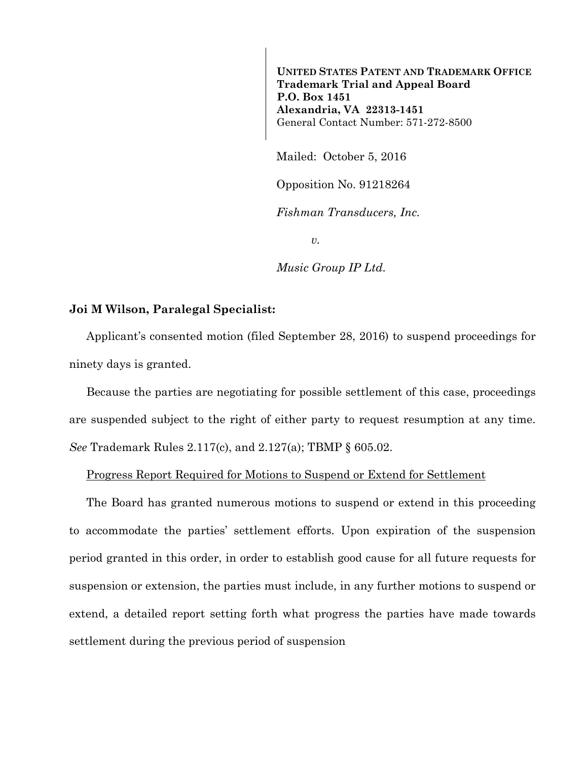**UNITED STATES PATENT AND TRADEMARK OFFICE Trademark Trial and Appeal Board P.O. Box 1451 Alexandria, VA 22313-1451**  General Contact Number: 571-272-8500

Mailed: October 5, 2016

Opposition No. 91218264

*Fishman Transducers, Inc.* 

 $v<sub>r</sub>$ 

*Music Group IP Ltd.* 

## **Joi M Wilson, Paralegal Specialist:**

Applicant's consented motion (filed September 28, 2016) to suspend proceedings for ninety days is granted.

Because the parties are negotiating for possible settlement of this case, proceedings are suspended subject to the right of either party to request resumption at any time. *See* Trademark Rules 2.117(c), and 2.127(a); TBMP § 605.02.

## Progress Report Required for Motions to Suspend or Extend for Settlement

The Board has granted numerous motions to suspend or extend in this proceeding to accommodate the parties' settlement efforts. Upon expiration of the suspension period granted in this order, in order to establish good cause for all future requests for suspension or extension, the parties must include, in any further motions to suspend or extend, a detailed report setting forth what progress the parties have made towards settlement during the previous period of suspension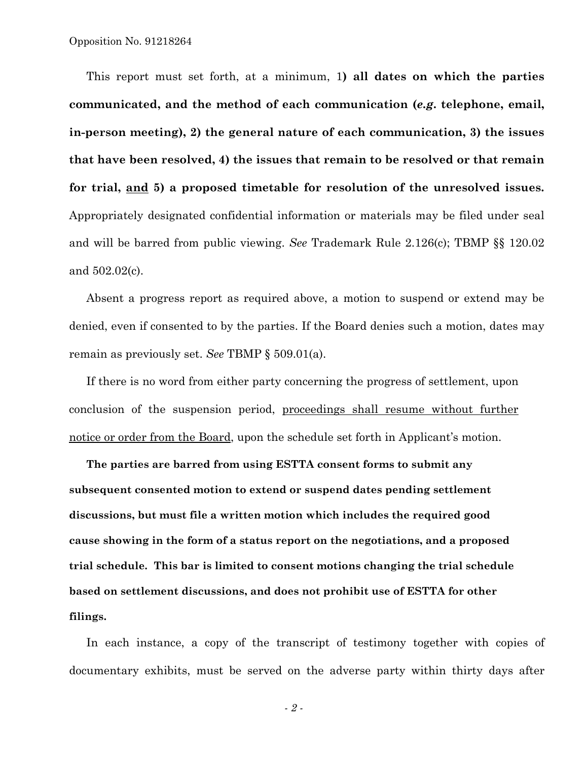This report must set forth, at a minimum, 1**) all dates on which the parties communicated, and the method of each communication (***e.g***. telephone, email, in-person meeting), 2) the general nature of each communication, 3) the issues that have been resolved, 4) the issues that remain to be resolved or that remain for trial, and 5) a proposed timetable for resolution of the unresolved issues.** Appropriately designated confidential information or materials may be filed under seal and will be barred from public viewing. *See* Trademark Rule 2.126(c); TBMP §§ 120.02 and 502.02(c).

Absent a progress report as required above, a motion to suspend or extend may be denied, even if consented to by the parties. If the Board denies such a motion, dates may remain as previously set. *See* TBMP § 509.01(a).

If there is no word from either party concerning the progress of settlement, upon conclusion of the suspension period, proceedings shall resume without further notice or order from the Board, upon the schedule set forth in Applicant's motion.

**The parties are barred from using ESTTA consent forms to submit any subsequent consented motion to extend or suspend dates pending settlement discussions, but must file a written motion which includes the required good cause showing in the form of a status report on the negotiations, and a proposed trial schedule. This bar is limited to consent motions changing the trial schedule based on settlement discussions, and does not prohibit use of ESTTA for other filings.** 

In each instance, a copy of the transcript of testimony together with copies of documentary exhibits, must be served on the adverse party within thirty days after

*- 2 -*